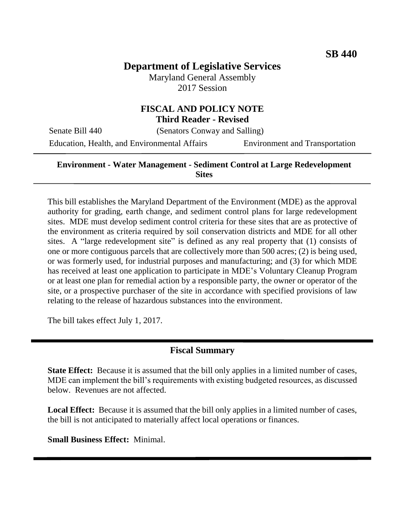# **Department of Legislative Services**

Maryland General Assembly 2017 Session

### **FISCAL AND POLICY NOTE Third Reader - Revised**

Senate Bill 440 (Senators Conway and Salling)

Education, Health, and Environmental Affairs Environment and Transportation

#### **Environment - Water Management - Sediment Control at Large Redevelopment Sites**

This bill establishes the Maryland Department of the Environment (MDE) as the approval authority for grading, earth change, and sediment control plans for large redevelopment sites. MDE must develop sediment control criteria for these sites that are as protective of the environment as criteria required by soil conservation districts and MDE for all other sites. A "large redevelopment site" is defined as any real property that (1) consists of one or more contiguous parcels that are collectively more than 500 acres; (2) is being used, or was formerly used, for industrial purposes and manufacturing; and (3) for which MDE has received at least one application to participate in MDE's Voluntary Cleanup Program or at least one plan for remedial action by a responsible party, the owner or operator of the site, or a prospective purchaser of the site in accordance with specified provisions of law relating to the release of hazardous substances into the environment.

The bill takes effect July 1, 2017.

#### **Fiscal Summary**

**State Effect:** Because it is assumed that the bill only applies in a limited number of cases, MDE can implement the bill's requirements with existing budgeted resources, as discussed below. Revenues are not affected.

**Local Effect:** Because it is assumed that the bill only applies in a limited number of cases, the bill is not anticipated to materially affect local operations or finances.

**Small Business Effect:** Minimal.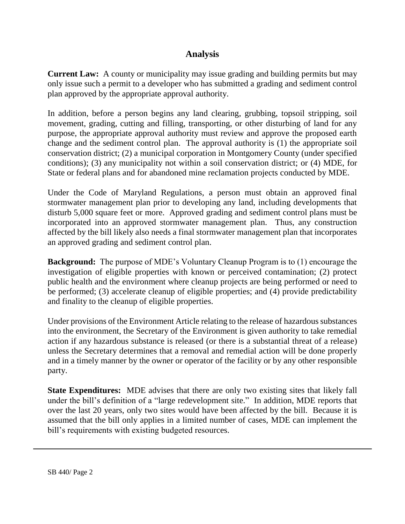## **Analysis**

**Current Law:** A county or municipality may issue grading and building permits but may only issue such a permit to a developer who has submitted a grading and sediment control plan approved by the appropriate approval authority.

In addition, before a person begins any land clearing, grubbing, topsoil stripping, soil movement, grading, cutting and filling, transporting, or other disturbing of land for any purpose, the appropriate approval authority must review and approve the proposed earth change and the sediment control plan. The approval authority is (1) the appropriate soil conservation district; (2) a municipal corporation in Montgomery County (under specified conditions); (3) any municipality not within a soil conservation district; or (4) MDE, for State or federal plans and for abandoned mine reclamation projects conducted by MDE.

Under the Code of Maryland Regulations, a person must obtain an approved final stormwater management plan prior to developing any land, including developments that disturb 5,000 square feet or more. Approved grading and sediment control plans must be incorporated into an approved stormwater management plan. Thus, any construction affected by the bill likely also needs a final stormwater management plan that incorporates an approved grading and sediment control plan.

**Background:** The purpose of MDE's Voluntary Cleanup Program is to (1) encourage the investigation of eligible properties with known or perceived contamination; (2) protect public health and the environment where cleanup projects are being performed or need to be performed; (3) accelerate cleanup of eligible properties; and (4) provide predictability and finality to the cleanup of eligible properties.

Under provisions of the Environment Article relating to the release of hazardous substances into the environment, the Secretary of the Environment is given authority to take remedial action if any hazardous substance is released (or there is a substantial threat of a release) unless the Secretary determines that a removal and remedial action will be done properly and in a timely manner by the owner or operator of the facility or by any other responsible party.

**State Expenditures:** MDE advises that there are only two existing sites that likely fall under the bill's definition of a "large redevelopment site." In addition, MDE reports that over the last 20 years, only two sites would have been affected by the bill. Because it is assumed that the bill only applies in a limited number of cases, MDE can implement the bill's requirements with existing budgeted resources.